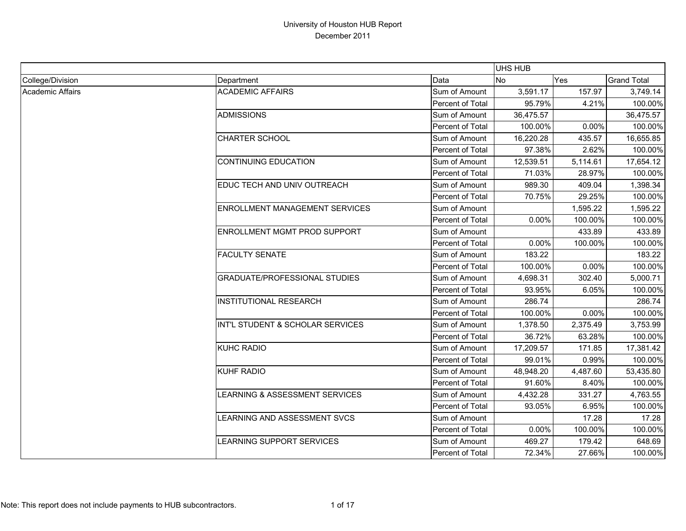|                  |                                       |                  | UHS HUB   |            |                    |
|------------------|---------------------------------------|------------------|-----------|------------|--------------------|
| College/Division | Department                            | Data             | <b>No</b> | <b>Yes</b> | <b>Grand Total</b> |
| Academic Affairs | <b>ACADEMIC AFFAIRS</b>               | Sum of Amount    | 3,591.17  | 157.97     | 3,749.14           |
|                  |                                       | Percent of Total | 95.79%    | 4.21%      | 100.00%            |
|                  | <b>ADMISSIONS</b>                     | Sum of Amount    | 36,475.57 |            | 36,475.57          |
|                  |                                       | Percent of Total | 100.00%   | 0.00%      | 100.00%            |
|                  | <b>CHARTER SCHOOL</b>                 | Sum of Amount    | 16,220.28 | 435.57     | 16,655.85          |
|                  |                                       | Percent of Total | 97.38%    | 2.62%      | 100.00%            |
|                  | <b>CONTINUING EDUCATION</b>           | Sum of Amount    | 12,539.51 | 5,114.61   | 17,654.12          |
|                  |                                       | Percent of Total | 71.03%    | 28.97%     | 100.00%            |
|                  | EDUC TECH AND UNIV OUTREACH           | Sum of Amount    | 989.30    | 409.04     | 1,398.34           |
|                  |                                       | Percent of Total | 70.75%    | 29.25%     | 100.00%            |
|                  | <b>ENROLLMENT MANAGEMENT SERVICES</b> | Sum of Amount    |           | 1,595.22   | 1,595.22           |
|                  |                                       | Percent of Total | 0.00%     | 100.00%    | 100.00%            |
|                  | ENROLLMENT MGMT PROD SUPPORT          | Sum of Amount    |           | 433.89     | 433.89             |
|                  |                                       | Percent of Total | 0.00%     | 100.00%    | 100.00%            |
|                  | <b>FACULTY SENATE</b>                 | Sum of Amount    | 183.22    |            | 183.22             |
|                  |                                       | Percent of Total | 100.00%   | 0.00%      | 100.00%            |
|                  | <b>GRADUATE/PROFESSIONAL STUDIES</b>  | Sum of Amount    | 4,698.31  | 302.40     | 5,000.71           |
|                  |                                       | Percent of Total | 93.95%    | 6.05%      | 100.00%            |
|                  | <b>INSTITUTIONAL RESEARCH</b>         | Sum of Amount    | 286.74    |            | 286.74             |
|                  |                                       | Percent of Total | 100.00%   | 0.00%      | 100.00%            |
|                  | INT'L STUDENT & SCHOLAR SERVICES      | Sum of Amount    | 1,378.50  | 2,375.49   | 3,753.99           |
|                  |                                       | Percent of Total | 36.72%    | 63.28%     | 100.00%            |
|                  | <b>KUHC RADIO</b>                     | Sum of Amount    | 17,209.57 | 171.85     | 17,381.42          |
|                  |                                       | Percent of Total | 99.01%    | 0.99%      | 100.00%            |
|                  | <b>KUHF RADIO</b>                     | Sum of Amount    | 48,948.20 | 4,487.60   | 53,435.80          |
|                  |                                       | Percent of Total | 91.60%    | 8.40%      | 100.00%            |
|                  | LEARNING & ASSESSMENT SERVICES        | Sum of Amount    | 4,432.28  | 331.27     | 4,763.55           |
|                  |                                       | Percent of Total | 93.05%    | 6.95%      | 100.00%            |
|                  | LEARNING AND ASSESSMENT SVCS          | Sum of Amount    |           | 17.28      | 17.28              |
|                  |                                       | Percent of Total | 0.00%     | 100.00%    | 100.00%            |
|                  | LEARNING SUPPORT SERVICES             | Sum of Amount    | 469.27    | 179.42     | 648.69             |
|                  |                                       | Percent of Total | 72.34%    | 27.66%     | 100.00%            |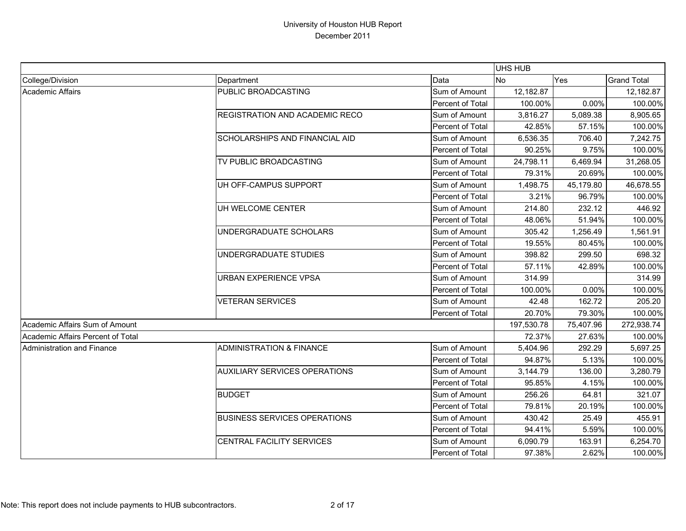|                                   |                                      |                  | <b>UHS HUB</b> |           |                    |
|-----------------------------------|--------------------------------------|------------------|----------------|-----------|--------------------|
| College/Division                  | Department                           | Data             | No             | Yes       | <b>Grand Total</b> |
| Academic Affairs                  | PUBLIC BROADCASTING                  | Sum of Amount    | 12,182.87      |           | 12,182.87          |
|                                   |                                      | Percent of Total | 100.00%        | 0.00%     | 100.00%            |
|                                   | REGISTRATION AND ACADEMIC RECO       | Sum of Amount    | 3,816.27       | 5,089.38  | 8,905.65           |
|                                   |                                      | Percent of Total | 42.85%         | 57.15%    | 100.00%            |
|                                   | SCHOLARSHIPS AND FINANCIAL AID       | Sum of Amount    | 6,536.35       | 706.40    | 7,242.75           |
|                                   |                                      | Percent of Total | 90.25%         | 9.75%     | 100.00%            |
|                                   | TV PUBLIC BROADCASTING               | Sum of Amount    | 24,798.11      | 6,469.94  | 31,268.05          |
|                                   |                                      | Percent of Total | 79.31%         | 20.69%    | 100.00%            |
|                                   | UH OFF-CAMPUS SUPPORT                | Sum of Amount    | 1,498.75       | 45,179.80 | 46,678.55          |
|                                   |                                      | Percent of Total | 3.21%          | 96.79%    | 100.00%            |
|                                   | UH WELCOME CENTER                    | Sum of Amount    | 214.80         | 232.12    | 446.92             |
|                                   |                                      | Percent of Total | 48.06%         | 51.94%    | 100.00%            |
|                                   | UNDERGRADUATE SCHOLARS               | Sum of Amount    | 305.42         | 1,256.49  | 1,561.91           |
|                                   |                                      | Percent of Total | 19.55%         | 80.45%    | 100.00%            |
|                                   | UNDERGRADUATE STUDIES                | Sum of Amount    | 398.82         | 299.50    | 698.32             |
|                                   |                                      | Percent of Total | 57.11%         | 42.89%    | 100.00%            |
|                                   | <b>URBAN EXPERIENCE VPSA</b>         | Sum of Amount    | 314.99         |           | 314.99             |
|                                   |                                      | Percent of Total | 100.00%        | 0.00%     | 100.00%            |
|                                   | <b>VETERAN SERVICES</b>              | Sum of Amount    | 42.48          | 162.72    | 205.20             |
|                                   |                                      | Percent of Total | 20.70%         | 79.30%    | 100.00%            |
| Academic Affairs Sum of Amount    |                                      |                  | 197,530.78     | 75,407.96 | 272,938.74         |
| Academic Affairs Percent of Total |                                      |                  | 72.37%         | 27.63%    | 100.00%            |
| Administration and Finance        | <b>ADMINISTRATION &amp; FINANCE</b>  | Sum of Amount    | 5,404.96       | 292.29    | 5,697.25           |
|                                   |                                      | Percent of Total | 94.87%         | 5.13%     | 100.00%            |
|                                   | <b>AUXILIARY SERVICES OPERATIONS</b> | Sum of Amount    | 3,144.79       | 136.00    | 3,280.79           |
|                                   |                                      | Percent of Total | 95.85%         | 4.15%     | 100.00%            |
|                                   | <b>BUDGET</b>                        | Sum of Amount    | 256.26         | 64.81     | 321.07             |
|                                   |                                      | Percent of Total | 79.81%         | 20.19%    | 100.00%            |
|                                   | <b>BUSINESS SERVICES OPERATIONS</b>  | Sum of Amount    | 430.42         | 25.49     | 455.91             |
|                                   |                                      | Percent of Total | 94.41%         | 5.59%     | 100.00%            |
|                                   | <b>CENTRAL FACILITY SERVICES</b>     | Sum of Amount    | 6,090.79       | 163.91    | 6,254.70           |
|                                   |                                      | Percent of Total | 97.38%         | 2.62%     | 100.00%            |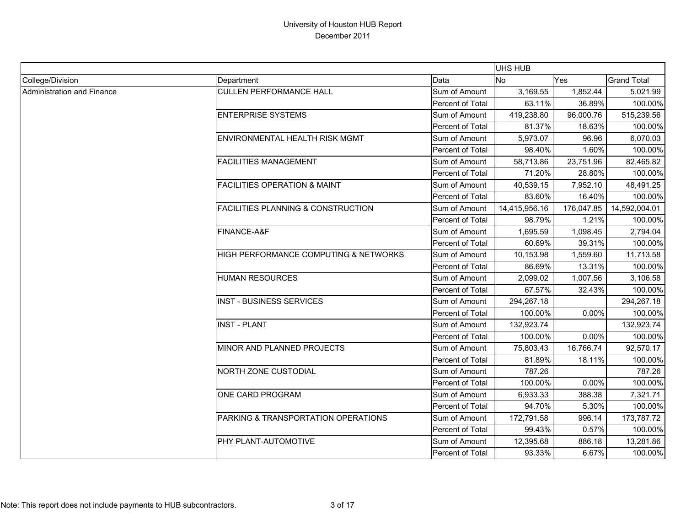|                            |                                               |                  | UHS HUB       |            |                    |
|----------------------------|-----------------------------------------------|------------------|---------------|------------|--------------------|
| College/Division           | Department                                    | Data             | No            | <b>Yes</b> | <b>Grand Total</b> |
| Administration and Finance | <b>CULLEN PERFORMANCE HALL</b>                | Sum of Amount    | 3,169.55      | 1,852.44   | 5,021.99           |
|                            |                                               | Percent of Total | 63.11%        | 36.89%     | 100.00%            |
|                            | <b>ENTERPRISE SYSTEMS</b>                     | Sum of Amount    | 419,238.80    | 96,000.76  | 515,239.56         |
|                            |                                               | Percent of Total | 81.37%        | 18.63%     | 100.00%            |
|                            | ENVIRONMENTAL HEALTH RISK MGMT                | Sum of Amount    | 5,973.07      | 96.96      | 6,070.03           |
|                            |                                               | Percent of Total | 98.40%        | 1.60%      | 100.00%            |
|                            | <b>FACILITIES MANAGEMENT</b>                  | Sum of Amount    | 58,713.86     | 23,751.96  | 82,465.82          |
|                            |                                               | Percent of Total | 71.20%        | 28.80%     | 100.00%            |
|                            | <b>FACILITIES OPERATION &amp; MAINT</b>       | Sum of Amount    | 40,539.15     | 7,952.10   | 48,491.25          |
|                            |                                               | Percent of Total | 83.60%        | 16.40%     | 100.00%            |
|                            | <b>FACILITIES PLANNING &amp; CONSTRUCTION</b> | Sum of Amount    | 14,415,956.16 | 176,047.85 | 14,592,004.01      |
|                            |                                               | Percent of Total | 98.79%        | 1.21%      | 100.00%            |
|                            | FINANCE-A&F                                   | Sum of Amount    | 1,695.59      | 1,098.45   | 2,794.04           |
|                            |                                               | Percent of Total | 60.69%        | 39.31%     | 100.00%            |
|                            | HIGH PERFORMANCE COMPUTING & NETWORKS         | Sum of Amount    | 10,153.98     | 1,559.60   | 11,713.58          |
|                            |                                               | Percent of Total | 86.69%        | 13.31%     | 100.00%            |
|                            | <b>HUMAN RESOURCES</b>                        | Sum of Amount    | 2,099.02      | 1,007.56   | 3,106.58           |
|                            |                                               | Percent of Total | 67.57%        | 32.43%     | 100.00%            |
|                            | <b>INST - BUSINESS SERVICES</b>               | Sum of Amount    | 294,267.18    |            | 294,267.18         |
|                            |                                               | Percent of Total | 100.00%       | $0.00\%$   | 100.00%            |
|                            | <b>INST - PLANT</b>                           | Sum of Amount    | 132,923.74    |            | 132,923.74         |
|                            |                                               | Percent of Total | 100.00%       | 0.00%      | 100.00%            |
|                            | MINOR AND PLANNED PROJECTS                    | Sum of Amount    | 75,803.43     | 16,766.74  | 92,570.17          |
|                            |                                               | Percent of Total | 81.89%        | 18.11%     | 100.00%            |
|                            | NORTH ZONE CUSTODIAL                          | Sum of Amount    | 787.26        |            | 787.26             |
|                            |                                               | Percent of Total | 100.00%       | 0.00%      | 100.00%            |
|                            | ONE CARD PROGRAM                              | Sum of Amount    | 6,933.33      | 388.38     | 7,321.71           |
|                            |                                               | Percent of Total | 94.70%        | 5.30%      | 100.00%            |
|                            | PARKING & TRANSPORTATION OPERATIONS           | Sum of Amount    | 172,791.58    | 996.14     | 173,787.72         |
|                            |                                               | Percent of Total | 99.43%        | 0.57%      | 100.00%            |
|                            | PHY PLANT-AUTOMOTIVE                          | Sum of Amount    | 12,395.68     | 886.18     | 13,281.86          |
|                            |                                               | Percent of Total | 93.33%        | 6.67%      | 100.00%            |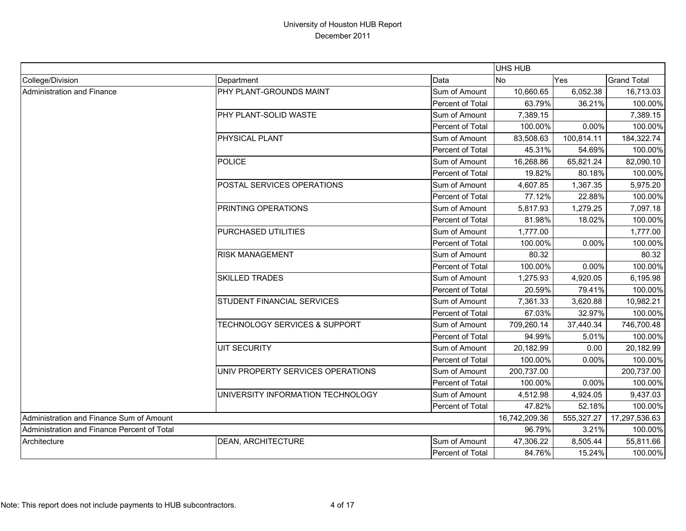|                                             |                                          |                         | UHS HUB       |            |                    |
|---------------------------------------------|------------------------------------------|-------------------------|---------------|------------|--------------------|
| College/Division                            | Department                               | Data                    | <b>No</b>     | Yes        | <b>Grand Total</b> |
| <b>Administration and Finance</b>           | PHY PLANT-GROUNDS MAINT                  | Sum of Amount           | 10,660.65     | 6,052.38   | 16,713.03          |
|                                             |                                          | Percent of Total        | 63.79%        | 36.21%     | 100.00%            |
|                                             | PHY PLANT-SOLID WASTE                    | Sum of Amount           | 7,389.15      |            | 7,389.15           |
|                                             |                                          | Percent of Total        | 100.00%       | 0.00%      | 100.00%            |
|                                             | PHYSICAL PLANT                           | Sum of Amount           | 83,508.63     | 100,814.11 | 184,322.74         |
|                                             |                                          | Percent of Total        | 45.31%        | 54.69%     | 100.00%            |
|                                             | <b>POLICE</b>                            | Sum of Amount           | 16,268.86     | 65,821.24  | 82,090.10          |
|                                             |                                          | Percent of Total        | 19.82%        | 80.18%     | 100.00%            |
|                                             | POSTAL SERVICES OPERATIONS               | Sum of Amount           | 4,607.85      | 1,367.35   | 5,975.20           |
|                                             |                                          | Percent of Total        | 77.12%        | 22.88%     | 100.00%            |
|                                             | PRINTING OPERATIONS                      | Sum of Amount           | 5,817.93      | 1,279.25   | 7,097.18           |
|                                             |                                          | Percent of Total        | 81.98%        | 18.02%     | 100.00%            |
|                                             | PURCHASED UTILITIES                      | Sum of Amount           | 1,777.00      |            | 1,777.00           |
|                                             |                                          | Percent of Total        | 100.00%       | 0.00%      | 100.00%            |
|                                             | <b>RISK MANAGEMENT</b>                   | Sum of Amount           | 80.32         |            | 80.32              |
|                                             |                                          | Percent of Total        | 100.00%       | 0.00%      | 100.00%            |
|                                             | <b>SKILLED TRADES</b>                    | Sum of Amount           | 1,275.93      | 4,920.05   | 6,195.98           |
|                                             |                                          | Percent of Total        | 20.59%        | 79.41%     | 100.00%            |
|                                             | STUDENT FINANCIAL SERVICES               | Sum of Amount           | 7,361.33      | 3,620.88   | 10,982.21          |
|                                             |                                          | Percent of Total        | 67.03%        | 32.97%     | 100.00%            |
|                                             | <b>TECHNOLOGY SERVICES &amp; SUPPORT</b> | Sum of Amount           | 709,260.14    | 37,440.34  | 746,700.48         |
|                                             |                                          | Percent of Total        | 94.99%        | 5.01%      | 100.00%            |
|                                             | <b>UIT SECURITY</b>                      | Sum of Amount           | 20,182.99     | 0.00       | 20,182.99          |
|                                             |                                          | Percent of Total        | 100.00%       | 0.00%      | 100.00%            |
|                                             | UNIV PROPERTY SERVICES OPERATIONS        | Sum of Amount           | 200,737.00    |            | 200,737.00         |
|                                             |                                          | Percent of Total        | 100.00%       | 0.00%      | 100.00%            |
|                                             | UNIVERSITY INFORMATION TECHNOLOGY        | Sum of Amount           | 4,512.98      | 4,924.05   | 9,437.03           |
|                                             |                                          | Percent of Total        | 47.82%        | 52.18%     | 100.00%            |
| Administration and Finance Sum of Amount    |                                          |                         | 16,742,209.36 | 555,327.27 | 17,297,536.63      |
| Administration and Finance Percent of Total |                                          |                         | 96.79%        | 3.21%      | 100.00%            |
| Architecture                                | DEAN, ARCHITECTURE                       | Sum of Amount           | 47,306.22     | 8,505.44   | 55,811.66          |
|                                             |                                          | <b>Percent of Total</b> | 84.76%        | 15.24%     | 100.00%            |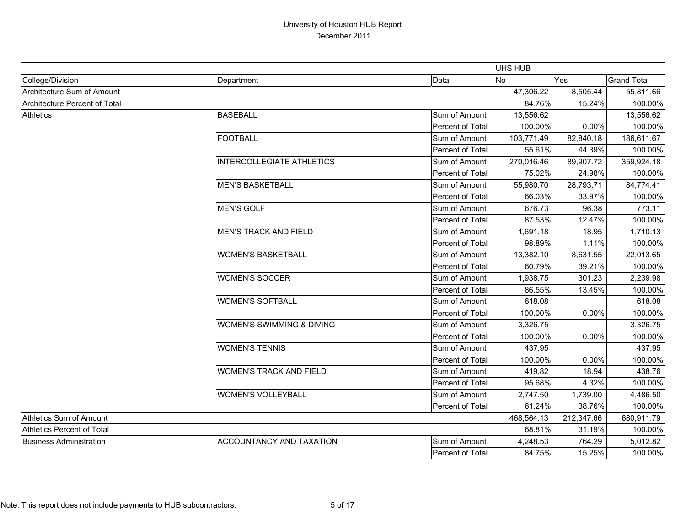|                                   |                                  |                  | UHS HUB        |            |                    |
|-----------------------------------|----------------------------------|------------------|----------------|------------|--------------------|
| College/Division                  | Department                       | Data             | N <sub>o</sub> | Yes        | <b>Grand Total</b> |
| Architecture Sum of Amount        |                                  |                  | 47,306.22      | 8,505.44   | 55,811.66          |
| Architecture Percent of Total     |                                  |                  | 84.76%         | 15.24%     | 100.00%            |
| <b>Athletics</b>                  | <b>BASEBALL</b>                  | Sum of Amount    | 13,556.62      |            | 13,556.62          |
|                                   |                                  | Percent of Total | 100.00%        | 0.00%      | 100.00%            |
|                                   | <b>FOOTBALL</b>                  | Sum of Amount    | 103,771.49     | 82,840.18  | 186,611.67         |
|                                   |                                  | Percent of Total | 55.61%         | 44.39%     | 100.00%            |
|                                   | <b>INTERCOLLEGIATE ATHLETICS</b> | Sum of Amount    | 270,016.46     | 89,907.72  | 359,924.18         |
|                                   |                                  | Percent of Total | 75.02%         | 24.98%     | 100.00%            |
|                                   | <b>MEN'S BASKETBALL</b>          | Sum of Amount    | 55,980.70      | 28,793.71  | 84,774.41          |
|                                   |                                  | Percent of Total | 66.03%         | 33.97%     | 100.00%            |
|                                   | <b>MEN'S GOLF</b>                | Sum of Amount    | 676.73         | 96.38      | 773.11             |
|                                   |                                  | Percent of Total | 87.53%         | 12.47%     | 100.00%            |
|                                   | <b>MEN'S TRACK AND FIELD</b>     | Sum of Amount    | 1,691.18       | 18.95      | 1,710.13           |
|                                   |                                  | Percent of Total | 98.89%         | 1.11%      | 100.00%            |
|                                   | <b>WOMEN'S BASKETBALL</b>        | Sum of Amount    | 13,382.10      | 8,631.55   | 22,013.65          |
|                                   |                                  | Percent of Total | 60.79%         | 39.21%     | 100.00%            |
|                                   | <b>WOMEN'S SOCCER</b>            | Sum of Amount    | 1,938.75       | 301.23     | 2,239.98           |
|                                   |                                  | Percent of Total | 86.55%         | 13.45%     | 100.00%            |
|                                   | <b>WOMEN'S SOFTBALL</b>          | Sum of Amount    | 618.08         |            | 618.08             |
|                                   |                                  | Percent of Total | 100.00%        | 0.00%      | 100.00%            |
|                                   | WOMEN'S SWIMMING & DIVING        | Sum of Amount    | 3,326.75       |            | 3,326.75           |
|                                   |                                  | Percent of Total | 100.00%        | 0.00%      | 100.00%            |
|                                   | <b>WOMEN'S TENNIS</b>            | Sum of Amount    | 437.95         |            | 437.95             |
|                                   |                                  | Percent of Total | 100.00%        | 0.00%      | 100.00%            |
|                                   | <b>WOMEN'S TRACK AND FIELD</b>   | Sum of Amount    | 419.82         | 18.94      | 438.76             |
|                                   |                                  | Percent of Total | 95.68%         | 4.32%      | 100.00%            |
|                                   | <b>WOMEN'S VOLLEYBALL</b>        | Sum of Amount    | 2,747.50       | 1,739.00   | 4,486.50           |
|                                   |                                  | Percent of Total | 61.24%         | 38.76%     | 100.00%            |
| Athletics Sum of Amount           |                                  |                  | 468,564.13     | 212,347.66 | 680,911.79         |
| <b>Athletics Percent of Total</b> |                                  |                  | 68.81%         | 31.19%     | 100.00%            |
| <b>Business Administration</b>    | <b>ACCOUNTANCY AND TAXATION</b>  | Sum of Amount    | 4,248.53       | 764.29     | 5,012.82           |
|                                   |                                  | Percent of Total | 84.75%         | 15.25%     | 100.00%            |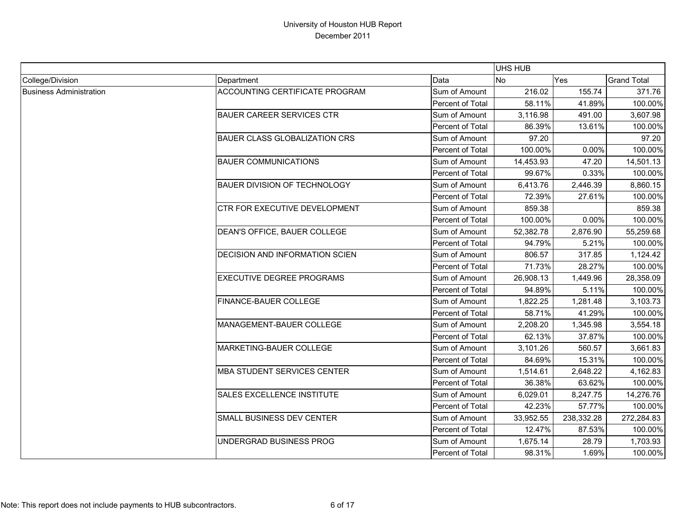|                                |                                       |                  | <b>UHS HUB</b> |            |                    |
|--------------------------------|---------------------------------------|------------------|----------------|------------|--------------------|
| College/Division               | Department                            | Data             | No             | Yes        | <b>Grand Total</b> |
| <b>Business Administration</b> | <b>ACCOUNTING CERTIFICATE PROGRAM</b> | Sum of Amount    | 216.02         | 155.74     | 371.76             |
|                                |                                       | Percent of Total | 58.11%         | 41.89%     | 100.00%            |
|                                | <b>BAUER CAREER SERVICES CTR</b>      | Sum of Amount    | 3,116.98       | 491.00     | 3,607.98           |
|                                |                                       | Percent of Total | 86.39%         | 13.61%     | 100.00%            |
|                                | <b>BAUER CLASS GLOBALIZATION CRS</b>  | Sum of Amount    | 97.20          |            | 97.20              |
|                                |                                       | Percent of Total | 100.00%        | 0.00%      | 100.00%            |
|                                | <b>BAUER COMMUNICATIONS</b>           | Sum of Amount    | 14,453.93      | 47.20      | 14,501.13          |
|                                |                                       | Percent of Total | 99.67%         | 0.33%      | 100.00%            |
|                                | BAUER DIVISION OF TECHNOLOGY          | Sum of Amount    | 6,413.76       | 2,446.39   | 8,860.15           |
|                                |                                       | Percent of Total | 72.39%         | 27.61%     | 100.00%            |
|                                | CTR FOR EXECUTIVE DEVELOPMENT         | Sum of Amount    | 859.38         |            | 859.38             |
|                                |                                       | Percent of Total | 100.00%        | 0.00%      | 100.00%            |
|                                | DEAN'S OFFICE, BAUER COLLEGE          | Sum of Amount    | 52,382.78      | 2,876.90   | 55,259.68          |
|                                |                                       | Percent of Total | 94.79%         | 5.21%      | 100.00%            |
|                                | DECISION AND INFORMATION SCIEN        | Sum of Amount    | 806.57         | 317.85     | 1,124.42           |
|                                |                                       | Percent of Total | 71.73%         | 28.27%     | 100.00%            |
|                                | <b>EXECUTIVE DEGREE PROGRAMS</b>      | Sum of Amount    | 26,908.13      | 1,449.96   | 28,358.09          |
|                                |                                       | Percent of Total | 94.89%         | 5.11%      | 100.00%            |
|                                | FINANCE-BAUER COLLEGE                 | Sum of Amount    | 1,822.25       | 1,281.48   | 3,103.73           |
|                                |                                       | Percent of Total | 58.71%         | 41.29%     | 100.00%            |
|                                | MANAGEMENT-BAUER COLLEGE              | Sum of Amount    | 2,208.20       | 1,345.98   | 3,554.18           |
|                                |                                       | Percent of Total | 62.13%         | 37.87%     | 100.00%            |
|                                | MARKETING-BAUER COLLEGE               | Sum of Amount    | 3,101.26       | 560.57     | 3,661.83           |
|                                |                                       | Percent of Total | 84.69%         | 15.31%     | 100.00%            |
|                                | <b>MBA STUDENT SERVICES CENTER</b>    | Sum of Amount    | 1,514.61       | 2,648.22   | 4,162.83           |
|                                |                                       | Percent of Total | 36.38%         | 63.62%     | 100.00%            |
|                                | SALES EXCELLENCE INSTITUTE            | Sum of Amount    | 6,029.01       | 8,247.75   | 14,276.76          |
|                                |                                       | Percent of Total | 42.23%         | 57.77%     | 100.00%            |
|                                | SMALL BUSINESS DEV CENTER             | Sum of Amount    | 33,952.55      | 238,332.28 | 272,284.83         |
|                                |                                       | Percent of Total | 12.47%         | 87.53%     | 100.00%            |
|                                | UNDERGRAD BUSINESS PROG               | Sum of Amount    | 1,675.14       | 28.79      | 1,703.93           |
|                                |                                       | Percent of Total | 98.31%         | 1.69%      | 100.00%            |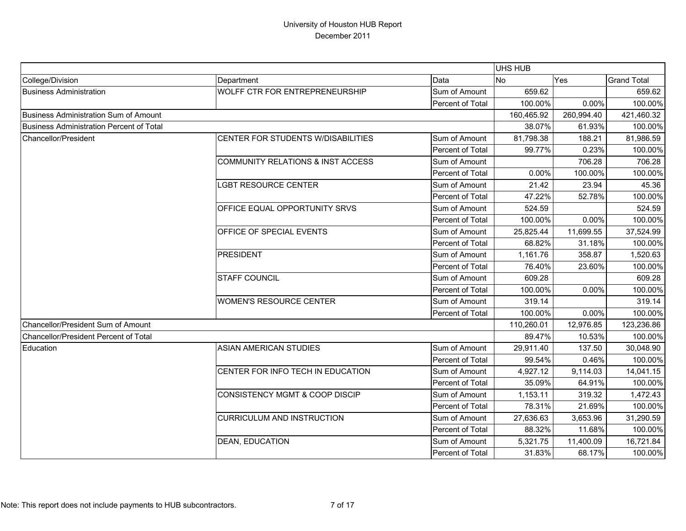|                                                 |                                              |                  | UHS HUB    |            |                    |
|-------------------------------------------------|----------------------------------------------|------------------|------------|------------|--------------------|
| College/Division                                | Department                                   | Data             | No         | Yes        | <b>Grand Total</b> |
| <b>Business Administration</b>                  | WOLFF CTR FOR ENTREPRENEURSHIP               | Sum of Amount    | 659.62     |            | 659.62             |
|                                                 |                                              | Percent of Total | 100.00%    | 0.00%      | 100.00%            |
| <b>Business Administration Sum of Amount</b>    |                                              |                  | 160,465.92 | 260,994.40 | 421,460.32         |
| <b>Business Administration Percent of Total</b> |                                              |                  | 38.07%     | 61.93%     | 100.00%            |
| Chancellor/President                            | CENTER FOR STUDENTS W/DISABILITIES           | Sum of Amount    | 81,798.38  | 188.21     | 81,986.59          |
|                                                 |                                              | Percent of Total | 99.77%     | 0.23%      | 100.00%            |
|                                                 | <b>COMMUNITY RELATIONS &amp; INST ACCESS</b> | Sum of Amount    |            | 706.28     | 706.28             |
|                                                 |                                              | Percent of Total | 0.00%      | 100.00%    | 100.00%            |
|                                                 | LGBT RESOURCE CENTER                         | Sum of Amount    | 21.42      | 23.94      | 45.36              |
|                                                 |                                              | Percent of Total | 47.22%     | 52.78%     | 100.00%            |
|                                                 | OFFICE EQUAL OPPORTUNITY SRVS                | Sum of Amount    | 524.59     |            | 524.59             |
|                                                 |                                              | Percent of Total | 100.00%    | 0.00%      | 100.00%            |
|                                                 | OFFICE OF SPECIAL EVENTS                     | Sum of Amount    | 25,825.44  | 11,699.55  | 37,524.99          |
|                                                 |                                              | Percent of Total | 68.82%     | 31.18%     | 100.00%            |
|                                                 | <b>PRESIDENT</b>                             | Sum of Amount    | 1,161.76   | 358.87     | 1,520.63           |
|                                                 |                                              | Percent of Total | 76.40%     | 23.60%     | 100.00%            |
|                                                 | <b>STAFF COUNCIL</b>                         | Sum of Amount    | 609.28     |            | 609.28             |
|                                                 |                                              | Percent of Total | 100.00%    | 0.00%      | 100.00%            |
|                                                 | <b>WOMEN'S RESOURCE CENTER</b>               | Sum of Amount    | 319.14     |            | 319.14             |
|                                                 |                                              | Percent of Total | 100.00%    | 0.00%      | 100.00%            |
| Chancellor/President Sum of Amount              |                                              |                  | 110,260.01 | 12,976.85  | 123,236.86         |
| Chancellor/President Percent of Total           |                                              |                  | 89.47%     | 10.53%     | 100.00%            |
| Education                                       | <b>ASIAN AMERICAN STUDIES</b>                | Sum of Amount    | 29,911.40  | 137.50     | 30,048.90          |
|                                                 |                                              | Percent of Total | 99.54%     | 0.46%      | 100.00%            |
|                                                 | CENTER FOR INFO TECH IN EDUCATION            | Sum of Amount    | 4,927.12   | 9,114.03   | 14,041.15          |
|                                                 |                                              | Percent of Total | 35.09%     | 64.91%     | 100.00%            |
|                                                 | <b>CONSISTENCY MGMT &amp; COOP DISCIP</b>    | Sum of Amount    | 1,153.11   | 319.32     | 1,472.43           |
|                                                 |                                              | Percent of Total | 78.31%     | 21.69%     | 100.00%            |
|                                                 | <b>CURRICULUM AND INSTRUCTION</b>            | Sum of Amount    | 27,636.63  | 3,653.96   | 31,290.59          |
|                                                 |                                              | Percent of Total | 88.32%     | 11.68%     | 100.00%            |
|                                                 | <b>DEAN, EDUCATION</b>                       | Sum of Amount    | 5,321.75   | 11,400.09  | 16,721.84          |
|                                                 |                                              | Percent of Total | 31.83%     | 68.17%     | 100.00%            |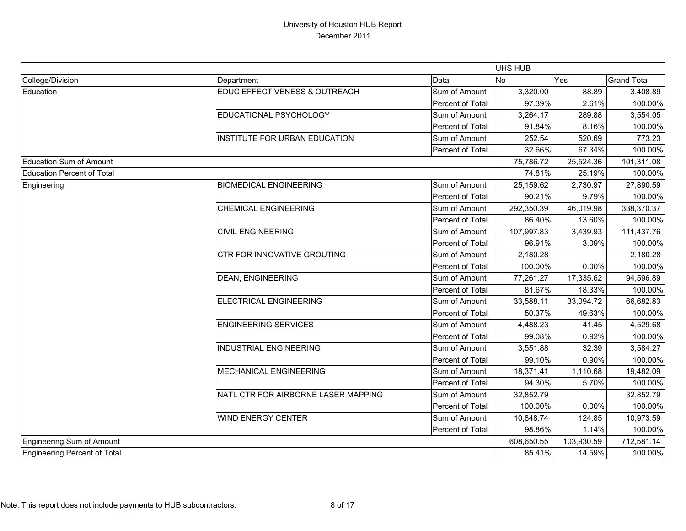|                                   |                                     |                  | <b>UHS HUB</b> |            |                    |
|-----------------------------------|-------------------------------------|------------------|----------------|------------|--------------------|
| College/Division                  | Department                          | Data             | No             | Yes        | <b>Grand Total</b> |
| Education                         | EDUC EFFECTIVENESS & OUTREACH       | Sum of Amount    | 3,320.00       | 88.89      | 3,408.89           |
|                                   |                                     | Percent of Total | 97.39%         | 2.61%      | 100.00%            |
|                                   | EDUCATIONAL PSYCHOLOGY              | Sum of Amount    | 3,264.17       | 289.88     | 3,554.05           |
|                                   |                                     | Percent of Total | 91.84%         | 8.16%      | 100.00%            |
|                                   | INSTITUTE FOR URBAN EDUCATION       | Sum of Amount    | 252.54         | 520.69     | 773.23             |
|                                   |                                     | Percent of Total | 32.66%         | 67.34%     | 100.00%            |
| Education Sum of Amount           |                                     |                  | 75,786.72      | 25,524.36  | 101,311.08         |
| <b>Education Percent of Total</b> |                                     |                  | 74.81%         | 25.19%     | 100.00%            |
| Engineering                       | <b>BIOMEDICAL ENGINEERING</b>       | Sum of Amount    | 25,159.62      | 2,730.97   | 27,890.59          |
|                                   |                                     | Percent of Total | 90.21%         | 9.79%      | 100.00%            |
|                                   | <b>CHEMICAL ENGINEERING</b>         | Sum of Amount    | 292,350.39     | 46,019.98  | 338,370.37         |
|                                   |                                     | Percent of Total | 86.40%         | 13.60%     | 100.00%            |
|                                   | <b>CIVIL ENGINEERING</b>            | Sum of Amount    | 107,997.83     | 3,439.93   | 111,437.76         |
|                                   |                                     | Percent of Total | 96.91%         | 3.09%      | 100.00%            |
|                                   | CTR FOR INNOVATIVE GROUTING         | Sum of Amount    | 2,180.28       |            | 2,180.28           |
|                                   |                                     | Percent of Total | 100.00%        | 0.00%      | 100.00%            |
|                                   | <b>DEAN, ENGINEERING</b>            | Sum of Amount    | 77,261.27      | 17,335.62  | 94,596.89          |
|                                   |                                     | Percent of Total | 81.67%         | 18.33%     | 100.00%            |
|                                   | ELECTRICAL ENGINEERING              | Sum of Amount    | 33,588.11      | 33,094.72  | 66,682.83          |
|                                   |                                     | Percent of Total | 50.37%         | 49.63%     | 100.00%            |
|                                   | <b>ENGINEERING SERVICES</b>         | Sum of Amount    | 4,488.23       | 41.45      | 4,529.68           |
|                                   |                                     | Percent of Total | 99.08%         | 0.92%      | 100.00%            |
|                                   | <b>INDUSTRIAL ENGINEERING</b>       | Sum of Amount    | 3,551.88       | 32.39      | 3,584.27           |
|                                   |                                     | Percent of Total | 99.10%         | 0.90%      | 100.00%            |
|                                   | MECHANICAL ENGINEERING              | Sum of Amount    | 18,371.41      | 1,110.68   | 19,482.09          |
|                                   |                                     | Percent of Total | 94.30%         | 5.70%      | 100.00%            |
|                                   | NATL CTR FOR AIRBORNE LASER MAPPING | Sum of Amount    | 32,852.79      |            | 32,852.79          |
|                                   |                                     | Percent of Total | 100.00%        | 0.00%      | 100.00%            |
|                                   | <b>WIND ENERGY CENTER</b>           | Sum of Amount    | 10,848.74      | 124.85     | 10,973.59          |
|                                   |                                     | Percent of Total | 98.86%         | 1.14%      | 100.00%            |
| Engineering Sum of Amount         |                                     |                  | 608,650.55     | 103,930.59 | 712,581.14         |
| Engineering Percent of Total      |                                     |                  | 85.41%         | 14.59%     | 100.00%            |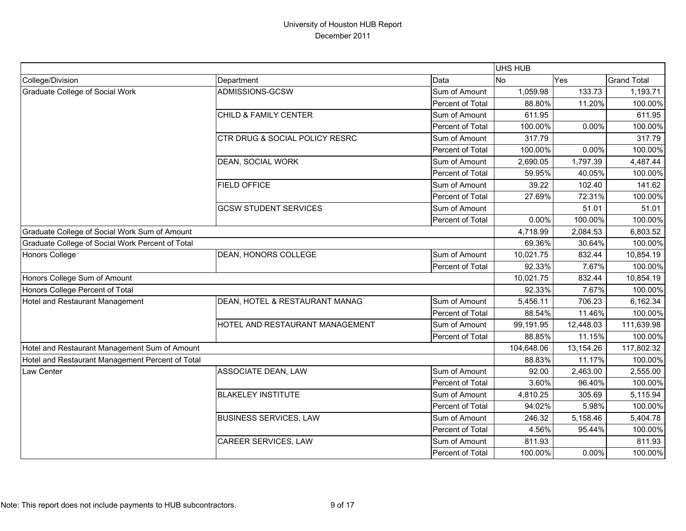|                                                  |                                 |                  | UHS HUB    |           |                    |
|--------------------------------------------------|---------------------------------|------------------|------------|-----------|--------------------|
| College/Division                                 | Department                      | Data             | <b>No</b>  | Yes       | <b>Grand Total</b> |
| <b>Graduate College of Social Work</b>           | ADMISSIONS-GCSW                 | Sum of Amount    | 1,059.98   | 133.73    | 1,193.71           |
|                                                  |                                 | Percent of Total | 88.80%     | 11.20%    | 100.00%            |
|                                                  | CHILD & FAMILY CENTER           | Sum of Amount    | 611.95     |           | 611.95             |
|                                                  |                                 | Percent of Total | 100.00%    | 0.00%     | 100.00%            |
|                                                  | CTR DRUG & SOCIAL POLICY RESRC  | Sum of Amount    | 317.79     |           | 317.79             |
|                                                  |                                 | Percent of Total | 100.00%    | 0.00%     | 100.00%            |
|                                                  | DEAN, SOCIAL WORK               | Sum of Amount    | 2,690.05   | 1,797.39  | 4,487.44           |
|                                                  |                                 | Percent of Total | 59.95%     | 40.05%    | 100.00%            |
|                                                  | <b>FIELD OFFICE</b>             | Sum of Amount    | 39.22      | 102.40    | 141.62             |
|                                                  |                                 | Percent of Total | 27.69%     | 72.31%    | 100.00%            |
|                                                  | <b>GCSW STUDENT SERVICES</b>    | Sum of Amount    |            | 51.01     | 51.01              |
|                                                  |                                 | Percent of Total | 0.00%      | 100.00%   | 100.00%            |
| Graduate College of Social Work Sum of Amount    |                                 |                  | 4,718.99   | 2,084.53  | 6,803.52           |
| Graduate College of Social Work Percent of Total |                                 |                  | 69.36%     | 30.64%    | 100.00%            |
| <b>Honors College</b>                            | DEAN, HONORS COLLEGE            | Sum of Amount    | 10,021.75  | 832.44    | 10,854.19          |
|                                                  |                                 | Percent of Total | 92.33%     | 7.67%     | 100.00%            |
| Honors College Sum of Amount                     |                                 |                  | 10,021.75  | 832.44    | 10,854.19          |
| Honors College Percent of Total                  |                                 |                  | 92.33%     | 7.67%     | 100.00%            |
| Hotel and Restaurant Management                  | DEAN, HOTEL & RESTAURANT MANAG  | Sum of Amount    | 5,456.11   | 706.23    | 6,162.34           |
|                                                  |                                 | Percent of Total | 88.54%     | 11.46%    | 100.00%            |
|                                                  | HOTEL AND RESTAURANT MANAGEMENT | Sum of Amount    | 99,191.95  | 12,448.03 | 111,639.98         |
|                                                  |                                 | Percent of Total | 88.85%     | 11.15%    | 100.00%            |
| Hotel and Restaurant Management Sum of Amount    |                                 |                  | 104,648.06 | 13,154.26 | 117,802.32         |
| Hotel and Restaurant Management Percent of Total |                                 |                  | 88.83%     | 11.17%    | 100.00%            |
| Law Center                                       | ASSOCIATE DEAN, LAW             | Sum of Amount    | 92.00      | 2,463.00  | 2,555.00           |
|                                                  |                                 | Percent of Total | 3.60%      | 96.40%    | 100.00%            |
|                                                  | <b>BLAKELEY INSTITUTE</b>       | Sum of Amount    | 4,810.25   | 305.69    | 5,115.94           |
|                                                  |                                 | Percent of Total | 94.02%     | 5.98%     | 100.00%            |
|                                                  | <b>BUSINESS SERVICES, LAW</b>   | Sum of Amount    | 246.32     | 5,158.46  | 5,404.78           |
|                                                  |                                 | Percent of Total | 4.56%      | 95.44%    | 100.00%            |
|                                                  | CAREER SERVICES, LAW            | Sum of Amount    | 811.93     |           | 811.93             |
|                                                  |                                 | Percent of Total | 100.00%    | 0.00%     | 100.00%            |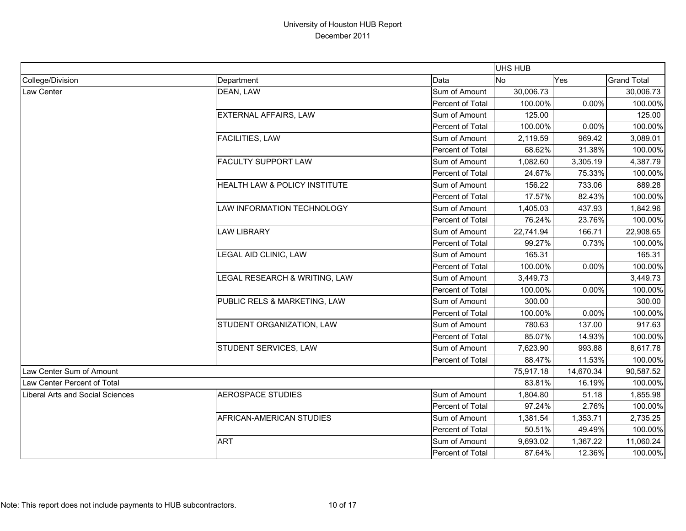|                                  |                               |                  | <b>UHS HUB</b> |           |                    |
|----------------------------------|-------------------------------|------------------|----------------|-----------|--------------------|
| College/Division                 | Department                    | Data             | No             | Yes       | <b>Grand Total</b> |
| Law Center                       | DEAN, LAW                     | Sum of Amount    | 30,006.73      |           | 30,006.73          |
|                                  |                               | Percent of Total | 100.00%        | 0.00%     | 100.00%            |
|                                  | <b>EXTERNAL AFFAIRS, LAW</b>  | Sum of Amount    | 125.00         |           | 125.00             |
|                                  |                               | Percent of Total | 100.00%        | 0.00%     | 100.00%            |
|                                  | <b>FACILITIES, LAW</b>        | Sum of Amount    | 2,119.59       | 969.42    | 3,089.01           |
|                                  |                               | Percent of Total | 68.62%         | 31.38%    | 100.00%            |
|                                  | <b>FACULTY SUPPORT LAW</b>    | Sum of Amount    | 1,082.60       | 3,305.19  | 4,387.79           |
|                                  |                               | Percent of Total | 24.67%         | 75.33%    | 100.00%            |
|                                  | HEALTH LAW & POLICY INSTITUTE | Sum of Amount    | 156.22         | 733.06    | 889.28             |
|                                  |                               | Percent of Total | 17.57%         | 82.43%    | 100.00%            |
|                                  | LAW INFORMATION TECHNOLOGY    | Sum of Amount    | 1,405.03       | 437.93    | 1,842.96           |
|                                  |                               | Percent of Total | 76.24%         | 23.76%    | 100.00%            |
|                                  | <b>LAW LIBRARY</b>            | Sum of Amount    | 22,741.94      | 166.71    | 22,908.65          |
|                                  |                               | Percent of Total | 99.27%         | 0.73%     | 100.00%            |
|                                  | LEGAL AID CLINIC, LAW         | Sum of Amount    | 165.31         |           | 165.31             |
|                                  |                               | Percent of Total | 100.00%        | 0.00%     | 100.00%            |
|                                  | LEGAL RESEARCH & WRITING, LAW | Sum of Amount    | 3,449.73       |           | 3,449.73           |
|                                  |                               | Percent of Total | 100.00%        | 0.00%     | 100.00%            |
|                                  | PUBLIC RELS & MARKETING, LAW  | Sum of Amount    | 300.00         |           | 300.00             |
|                                  |                               | Percent of Total | 100.00%        | 0.00%     | 100.00%            |
|                                  | STUDENT ORGANIZATION, LAW     | Sum of Amount    | 780.63         | 137.00    | 917.63             |
|                                  |                               | Percent of Total | 85.07%         | 14.93%    | 100.00%            |
|                                  | STUDENT SERVICES, LAW         | Sum of Amount    | 7,623.90       | 993.88    | 8,617.78           |
|                                  |                               | Percent of Total | 88.47%         | 11.53%    | 100.00%            |
| Law Center Sum of Amount         |                               |                  | 75,917.18      | 14,670.34 | 90,587.52          |
| Law Center Percent of Total      |                               |                  | 83.81%         | 16.19%    | 100.00%            |
| Liberal Arts and Social Sciences | <b>AEROSPACE STUDIES</b>      | Sum of Amount    | 1,804.80       | 51.18     | 1,855.98           |
|                                  |                               | Percent of Total | 97.24%         | 2.76%     | 100.00%            |
|                                  | AFRICAN-AMERICAN STUDIES      | Sum of Amount    | 1,381.54       | 1,353.71  | 2,735.25           |
|                                  |                               | Percent of Total | 50.51%         | 49.49%    | 100.00%            |
|                                  | <b>ART</b>                    | Sum of Amount    | 9,693.02       | 1,367.22  | 11,060.24          |
|                                  |                               | Percent of Total | 87.64%         | 12.36%    | 100.00%            |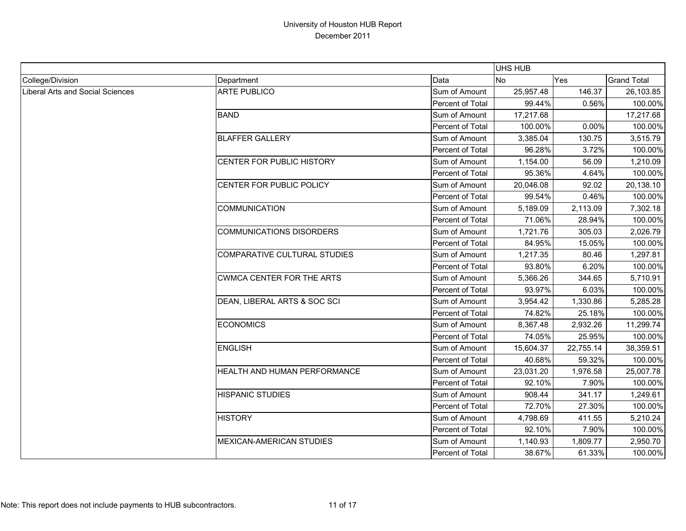|                                  |                                  |                         | <b>UHS HUB</b> |           |                    |
|----------------------------------|----------------------------------|-------------------------|----------------|-----------|--------------------|
| College/Division                 | Department                       | Data                    | <b>No</b>      | Yes       | <b>Grand Total</b> |
| Liberal Arts and Social Sciences | <b>ARTE PUBLICO</b>              | Sum of Amount           | 25,957.48      | 146.37    | 26,103.85          |
|                                  |                                  | <b>Percent of Total</b> | 99.44%         | 0.56%     | 100.00%            |
|                                  | <b>BAND</b>                      | Sum of Amount           | 17,217.68      |           | 17,217.68          |
|                                  |                                  | Percent of Total        | 100.00%        | 0.00%     | 100.00%            |
|                                  | <b>BLAFFER GALLERY</b>           | Sum of Amount           | 3.385.04       | 130.75    | 3,515.79           |
|                                  |                                  | Percent of Total        | 96.28%         | 3.72%     | 100.00%            |
|                                  | CENTER FOR PUBLIC HISTORY        | Sum of Amount           | 1,154.00       | 56.09     | 1,210.09           |
|                                  |                                  | Percent of Total        | 95.36%         | 4.64%     | 100.00%            |
|                                  | CENTER FOR PUBLIC POLICY         | Sum of Amount           | 20,046.08      | 92.02     | 20,138.10          |
|                                  |                                  | Percent of Total        | 99.54%         | 0.46%     | 100.00%            |
|                                  | <b>COMMUNICATION</b>             | Sum of Amount           | 5,189.09       | 2,113.09  | 7,302.18           |
|                                  |                                  | Percent of Total        | 71.06%         | 28.94%    | 100.00%            |
|                                  | <b>COMMUNICATIONS DISORDERS</b>  | Sum of Amount           | 1,721.76       | 305.03    | 2,026.79           |
|                                  |                                  | Percent of Total        | 84.95%         | 15.05%    | 100.00%            |
|                                  | COMPARATIVE CULTURAL STUDIES     | Sum of Amount           | 1,217.35       | 80.46     | 1,297.81           |
|                                  |                                  | Percent of Total        | 93.80%         | 6.20%     | 100.00%            |
|                                  | <b>CWMCA CENTER FOR THE ARTS</b> | Sum of Amount           | 5,366.26       | 344.65    | 5,710.91           |
|                                  |                                  | Percent of Total        | 93.97%         | 6.03%     | 100.00%            |
|                                  | DEAN, LIBERAL ARTS & SOC SCI     | Sum of Amount           | 3,954.42       | 1,330.86  | 5,285.28           |
|                                  |                                  | Percent of Total        | 74.82%         | 25.18%    | 100.00%            |
|                                  | <b>ECONOMICS</b>                 | Sum of Amount           | 8,367.48       | 2,932.26  | 11,299.74          |
|                                  |                                  | Percent of Total        | 74.05%         | 25.95%    | 100.00%            |
|                                  | <b>ENGLISH</b>                   | Sum of Amount           | 15,604.37      | 22,755.14 | 38,359.51          |
|                                  |                                  | Percent of Total        | 40.68%         | 59.32%    | 100.00%            |
|                                  | HEALTH AND HUMAN PERFORMANCE     | Sum of Amount           | 23,031.20      | 1,976.58  | 25,007.78          |
|                                  |                                  | Percent of Total        | 92.10%         | 7.90%     | 100.00%            |
|                                  | <b>HISPANIC STUDIES</b>          | Sum of Amount           | 908.44         | 341.17    | 1,249.61           |
|                                  |                                  | Percent of Total        | 72.70%         | 27.30%    | 100.00%            |
|                                  | <b>HISTORY</b>                   | Sum of Amount           | 4,798.69       | 411.55    | 5,210.24           |
|                                  |                                  | Percent of Total        | 92.10%         | 7.90%     | 100.00%            |
|                                  | <b>MEXICAN-AMERICAN STUDIES</b>  | Sum of Amount           | 1,140.93       | 1,809.77  | 2,950.70           |
|                                  |                                  | Percent of Total        | 38.67%         | 61.33%    | 100.00%            |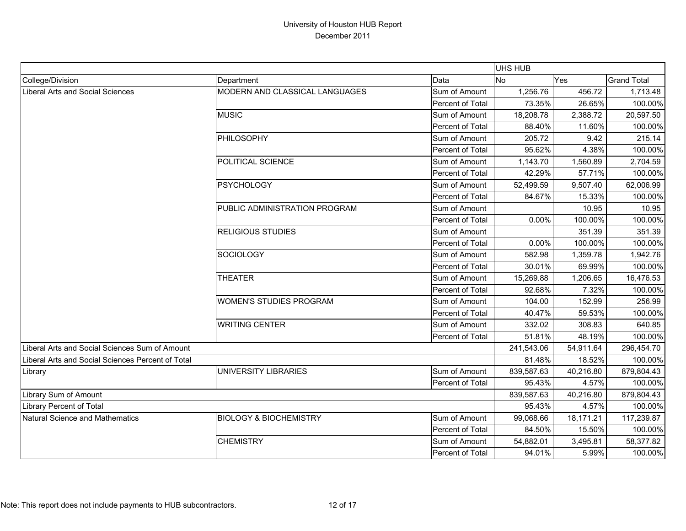|                                                   |                                   |                         | UHS HUB    |           |                    |
|---------------------------------------------------|-----------------------------------|-------------------------|------------|-----------|--------------------|
| College/Division                                  | Department                        | Data                    | <b>No</b>  | Yes       | <b>Grand Total</b> |
| <b>Liberal Arts and Social Sciences</b>           | MODERN AND CLASSICAL LANGUAGES    | Sum of Amount           | 1,256.76   | 456.72    | 1,713.48           |
|                                                   |                                   | Percent of Total        | 73.35%     | 26.65%    | 100.00%            |
|                                                   | <b>MUSIC</b>                      | Sum of Amount           | 18,208.78  | 2,388.72  | 20,597.50          |
|                                                   |                                   | Percent of Total        | 88.40%     | 11.60%    | 100.00%            |
|                                                   | PHILOSOPHY                        | Sum of Amount           | 205.72     | 9.42      | 215.14             |
|                                                   |                                   | Percent of Total        | 95.62%     | 4.38%     | 100.00%            |
|                                                   | POLITICAL SCIENCE                 | Sum of Amount           | 1,143.70   | 1,560.89  | 2,704.59           |
|                                                   |                                   | <b>Percent of Total</b> | 42.29%     | 57.71%    | 100.00%            |
|                                                   | <b>PSYCHOLOGY</b>                 | Sum of Amount           | 52,499.59  | 9,507.40  | 62,006.99          |
|                                                   |                                   | Percent of Total        | 84.67%     | 15.33%    | 100.00%            |
|                                                   | PUBLIC ADMINISTRATION PROGRAM     | Sum of Amount           |            | 10.95     | 10.95              |
|                                                   |                                   | Percent of Total        | 0.00%      | 100.00%   | 100.00%            |
|                                                   | <b>RELIGIOUS STUDIES</b>          | Sum of Amount           |            | 351.39    | 351.39             |
|                                                   |                                   | Percent of Total        | 0.00%      | 100.00%   | 100.00%            |
|                                                   | SOCIOLOGY                         | Sum of Amount           | 582.98     | 1,359.78  | 1,942.76           |
|                                                   |                                   | Percent of Total        | 30.01%     | 69.99%    | 100.00%            |
|                                                   | <b>THEATER</b>                    | Sum of Amount           | 15,269.88  | 1,206.65  | 16,476.53          |
|                                                   |                                   | <b>Percent of Total</b> | 92.68%     | 7.32%     | 100.00%            |
|                                                   | <b>WOMEN'S STUDIES PROGRAM</b>    | Sum of Amount           | 104.00     | 152.99    | 256.99             |
|                                                   |                                   | Percent of Total        | 40.47%     | 59.53%    | 100.00%            |
|                                                   | <b>WRITING CENTER</b>             | Sum of Amount           | 332.02     | 308.83    | 640.85             |
|                                                   |                                   | Percent of Total        | 51.81%     | 48.19%    | 100.00%            |
| Liberal Arts and Social Sciences Sum of Amount    |                                   |                         | 241,543.06 | 54,911.64 | 296,454.70         |
| Liberal Arts and Social Sciences Percent of Total |                                   |                         | 81.48%     | 18.52%    | 100.00%            |
| Library                                           | UNIVERSITY LIBRARIES              | Sum of Amount           | 839,587.63 | 40,216.80 | 879,804.43         |
|                                                   |                                   | Percent of Total        | 95.43%     | 4.57%     | 100.00%            |
| Library Sum of Amount                             |                                   |                         | 839,587.63 | 40,216.80 | 879,804.43         |
| Library Percent of Total                          |                                   |                         | 95.43%     | 4.57%     | 100.00%            |
| Natural Science and Mathematics                   | <b>BIOLOGY &amp; BIOCHEMISTRY</b> | Sum of Amount           | 99,068.66  | 18,171.21 | 117,239.87         |
|                                                   |                                   | Percent of Total        | 84.50%     | 15.50%    | 100.00%            |
|                                                   | <b>CHEMISTRY</b>                  | Sum of Amount           | 54,882.01  | 3,495.81  | 58,377.82          |
|                                                   |                                   | Percent of Total        | 94.01%     | 5.99%     | 100.00%            |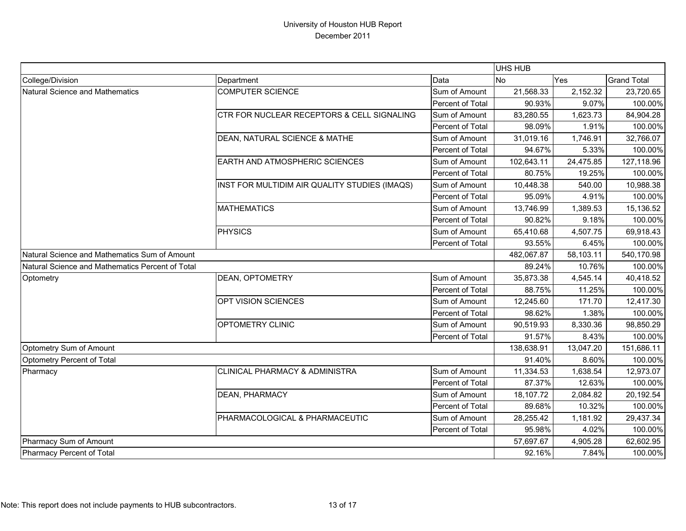|                                                  |                                               |                  | <b>UHS HUB</b> |            |                    |
|--------------------------------------------------|-----------------------------------------------|------------------|----------------|------------|--------------------|
| College/Division                                 | Department                                    | Data             | <b>No</b>      | Yes        | <b>Grand Total</b> |
| Natural Science and Mathematics                  | <b>COMPUTER SCIENCE</b>                       | Sum of Amount    | 21,568.33      | 2,152.32   | 23,720.65          |
|                                                  |                                               | Percent of Total | 90.93%         | 9.07%      | 100.00%            |
|                                                  | CTR FOR NUCLEAR RECEPTORS & CELL SIGNALING    | Sum of Amount    | 83,280.55      | 1,623.73   | 84,904.28          |
|                                                  |                                               | Percent of Total | 98.09%         | 1.91%      | 100.00%            |
|                                                  | DEAN, NATURAL SCIENCE & MATHE                 | Sum of Amount    | 31,019.16      | 1,746.91   | 32,766.07          |
|                                                  |                                               | Percent of Total | 94.67%         | 5.33%      | 100.00%            |
|                                                  | EARTH AND ATMOSPHERIC SCIENCES                | Sum of Amount    | 102,643.11     | 24,475.85  | 127,118.96         |
|                                                  |                                               | Percent of Total | 80.75%         | 19.25%     | 100.00%            |
|                                                  | INST FOR MULTIDIM AIR QUALITY STUDIES (IMAQS) | Sum of Amount    | 10,448.38      | 540.00     | 10,988.38          |
|                                                  |                                               | Percent of Total | 95.09%         | 4.91%      | 100.00%            |
|                                                  | <b>MATHEMATICS</b>                            | Sum of Amount    | 13,746.99      | 1,389.53   | 15,136.52          |
|                                                  |                                               | Percent of Total | 90.82%         | 9.18%      | 100.00%            |
|                                                  | PHYSICS                                       | Sum of Amount    | 65,410.68      | 4,507.75   | 69,918.43          |
|                                                  |                                               | Percent of Total | 93.55%         | 6.45%      | 100.00%            |
| Natural Science and Mathematics Sum of Amount    |                                               | 482,067.87       | 58,103.11      | 540,170.98 |                    |
| Natural Science and Mathematics Percent of Total |                                               |                  | 89.24%         | 10.76%     | 100.00%            |
| Optometry                                        | <b>DEAN, OPTOMETRY</b>                        | Sum of Amount    | 35,873.38      | 4,545.14   | 40,418.52          |
|                                                  |                                               | Percent of Total | 88.75%         | 11.25%     | 100.00%            |
|                                                  | OPT VISION SCIENCES                           | Sum of Amount    | 12,245.60      | 171.70     | 12,417.30          |
|                                                  |                                               | Percent of Total | 98.62%         | 1.38%      | 100.00%            |
|                                                  | OPTOMETRY CLINIC                              | Sum of Amount    | 90,519.93      | 8,330.36   | 98,850.29          |
|                                                  |                                               | Percent of Total | 91.57%         | 8.43%      | 100.00%            |
| Optometry Sum of Amount                          |                                               |                  | 138,638.91     | 13,047.20  | 151,686.11         |
| Optometry Percent of Total                       |                                               |                  | 91.40%         | 8.60%      | 100.00%            |
| Pharmacy                                         | <b>CLINICAL PHARMACY &amp; ADMINISTRA</b>     | Sum of Amount    | 11,334.53      | 1,638.54   | 12,973.07          |
|                                                  |                                               | Percent of Total | 87.37%         | 12.63%     | 100.00%            |
|                                                  | <b>DEAN, PHARMACY</b>                         | Sum of Amount    | 18,107.72      | 2,084.82   | 20,192.54          |
|                                                  |                                               | Percent of Total | 89.68%         | 10.32%     | 100.00%            |
|                                                  | PHARMACOLOGICAL & PHARMACEUTIC                | Sum of Amount    | 28,255.42      | 1,181.92   | 29,437.34          |
|                                                  |                                               | Percent of Total | 95.98%         | 4.02%      | 100.00%            |
| Pharmacy Sum of Amount                           |                                               |                  | 57,697.67      | 4,905.28   | 62,602.95          |
| Pharmacy Percent of Total                        |                                               |                  | 92.16%         | 7.84%      | 100.00%            |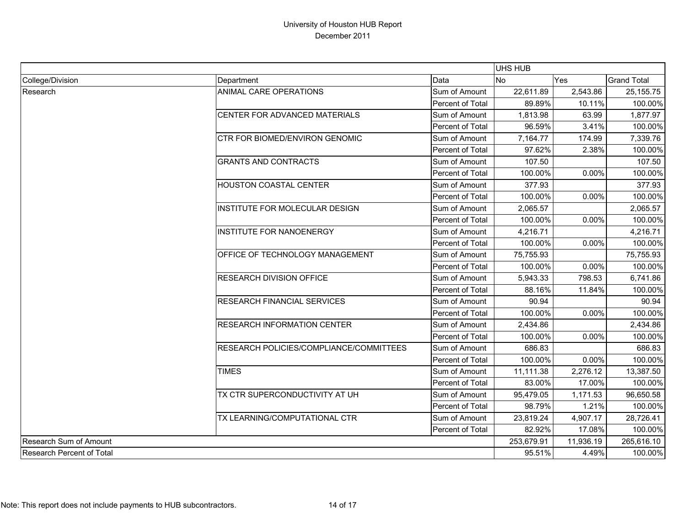|                           |                                                |                         | UHS HUB   |            |                                                                                                                                                                                        |
|---------------------------|------------------------------------------------|-------------------------|-----------|------------|----------------------------------------------------------------------------------------------------------------------------------------------------------------------------------------|
| College/Division          | Department                                     | Data                    | <b>No</b> | Yes        | <b>Grand Total</b>                                                                                                                                                                     |
| Research                  | ANIMAL CARE OPERATIONS                         | Sum of Amount           | 22,611.89 | 2,543.86   | 25, 155.75                                                                                                                                                                             |
|                           |                                                | <b>Percent of Total</b> | 89.89%    | 10.11%     | 100.00%                                                                                                                                                                                |
|                           | CENTER FOR ADVANCED MATERIALS                  | Sum of Amount           | 1,813.98  | 63.99      | 1,877.97                                                                                                                                                                               |
|                           |                                                | Percent of Total        | 96.59%    | 3.41%      | 100.00%                                                                                                                                                                                |
|                           | <b>CTR FOR BIOMED/ENVIRON GENOMIC</b>          | Sum of Amount           | 7,164.77  | 174.99     | 7,339.76                                                                                                                                                                               |
|                           |                                                | Percent of Total        | 97.62%    | 2.38%      | 100.00%                                                                                                                                                                                |
|                           | <b>GRANTS AND CONTRACTS</b>                    | Sum of Amount           | 107.50    |            |                                                                                                                                                                                        |
|                           |                                                | Percent of Total        | 100.00%   | 0.00%      |                                                                                                                                                                                        |
|                           | <b>HOUSTON COASTAL CENTER</b>                  | Sum of Amount           | 377.93    |            |                                                                                                                                                                                        |
|                           |                                                | Percent of Total        | 100.00%   | 0.00%      |                                                                                                                                                                                        |
|                           | INSTITUTE FOR MOLECULAR DESIGN                 | Sum of Amount           | 2,065.57  |            | 2,065.57                                                                                                                                                                               |
|                           |                                                | Percent of Total        | 100.00%   | 0.00%      |                                                                                                                                                                                        |
|                           | <b>INSTITUTE FOR NANOENERGY</b>                | Sum of Amount           | 4,216.71  |            | 4,216.71                                                                                                                                                                               |
|                           |                                                | Percent of Total        | 100.00%   | 0.00%      |                                                                                                                                                                                        |
|                           | <b>OFFICE OF TECHNOLOGY MANAGEMENT</b>         | Sum of Amount           | 75,755.93 |            | 75,755.93                                                                                                                                                                              |
|                           |                                                | Percent of Total        | 100.00%   | 0.00%      |                                                                                                                                                                                        |
|                           | <b>RESEARCH DIVISION OFFICE</b>                | Sum of Amount           | 5,943.33  | 798.53     | 107.50<br>100.00%<br>377.93<br>100.00%<br>100.00%<br>100.00%<br>100.00%<br>6,741.86<br>100.00%<br>90.94<br>100.00%<br>2,434.86<br>100.00%<br>686.83<br>100.00%<br>13,387.50<br>100.00% |
|                           |                                                | <b>Percent of Total</b> | 88.16%    | 11.84%     |                                                                                                                                                                                        |
|                           | <b>RESEARCH FINANCIAL SERVICES</b>             | Sum of Amount           | 90.94     |            |                                                                                                                                                                                        |
|                           |                                                | Percent of Total        | 100.00%   | 0.00%      |                                                                                                                                                                                        |
|                           | <b>RESEARCH INFORMATION CENTER</b>             | Sum of Amount           | 2,434.86  |            |                                                                                                                                                                                        |
|                           |                                                | Percent of Total        | 100.00%   | 0.00%      |                                                                                                                                                                                        |
|                           | <b>RESEARCH POLICIES/COMPLIANCE/COMMITTEES</b> | Sum of Amount           | 686.83    |            |                                                                                                                                                                                        |
|                           |                                                | Percent of Total        | 100.00%   | 0.00%      |                                                                                                                                                                                        |
|                           | <b>TIMES</b>                                   | Sum of Amount           | 11,111.38 | 2,276.12   |                                                                                                                                                                                        |
|                           |                                                | Percent of Total        | 83.00%    | 17.00%     |                                                                                                                                                                                        |
|                           | TX CTR SUPERCONDUCTIVITY AT UH                 | Sum of Amount           | 95,479.05 | 1,171.53   | 96,650.58                                                                                                                                                                              |
|                           |                                                | Percent of Total        | 98.79%    | 1.21%      | 100.00%                                                                                                                                                                                |
|                           | TX LEARNING/COMPUTATIONAL CTR                  | Sum of Amount           | 23,819.24 | 4,907.17   | 28,726.41                                                                                                                                                                              |
|                           |                                                | Percent of Total        | 82.92%    | 17.08%     | 100.00%                                                                                                                                                                                |
| Research Sum of Amount    |                                                | 253,679.91              | 11,936.19 | 265,616.10 |                                                                                                                                                                                        |
| Research Percent of Total |                                                | 95.51%                  | 4.49%     | 100.00%    |                                                                                                                                                                                        |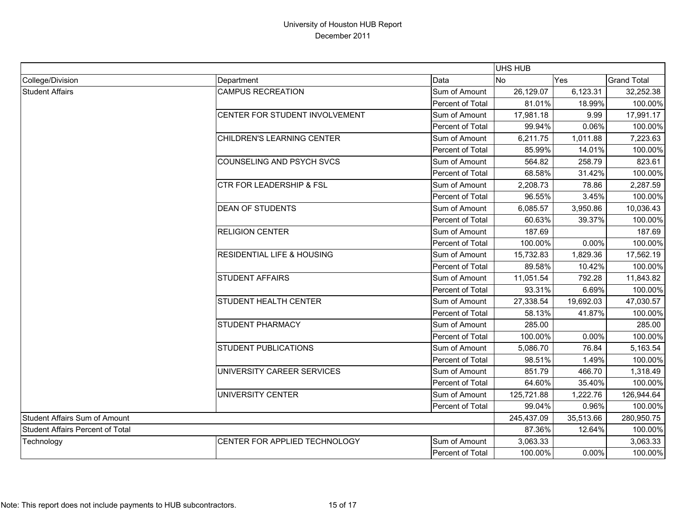|                                         |                                       | UHS HUB                                                                                                                                                                                                                              |            |                                                          |                       |  |
|-----------------------------------------|---------------------------------------|--------------------------------------------------------------------------------------------------------------------------------------------------------------------------------------------------------------------------------------|------------|----------------------------------------------------------|-----------------------|--|
| College/Division                        | Department                            | Data                                                                                                                                                                                                                                 | No         | Yes                                                      | <b>Grand Total</b>    |  |
| <b>Student Affairs</b>                  | <b>CAMPUS RECREATION</b>              | Sum of Amount                                                                                                                                                                                                                        | 26,129.07  | 6,123.31                                                 | 32,252.38             |  |
|                                         |                                       | Percent of Total                                                                                                                                                                                                                     | 81.01%     | 18.99%                                                   | 100.00%               |  |
|                                         | CENTER FOR STUDENT INVOLVEMENT        | Sum of Amount                                                                                                                                                                                                                        | 17,981.18  | 9.99                                                     | 17,991.17             |  |
|                                         |                                       | Percent of Total                                                                                                                                                                                                                     | 99.94%     | 0.06%                                                    | 100.00%               |  |
|                                         | CHILDREN'S LEARNING CENTER            | Sum of Amount                                                                                                                                                                                                                        | 6,211.75   | 1,011.88                                                 | 7,223.63              |  |
|                                         |                                       | Percent of Total                                                                                                                                                                                                                     | 85.99%     | 14.01%                                                   | 100.00%               |  |
|                                         | <b>COUNSELING AND PSYCH SVCS</b>      | Sum of Amount                                                                                                                                                                                                                        | 564.82     | 258.79                                                   | 823.61                |  |
|                                         |                                       | Percent of Total                                                                                                                                                                                                                     | 68.58%     | 31.42%                                                   | 100.00%               |  |
|                                         | CTR FOR LEADERSHIP & FSL              | Sum of Amount                                                                                                                                                                                                                        | 2,208.73   | 78.86                                                    | 2,287.59              |  |
|                                         |                                       | Percent of Total                                                                                                                                                                                                                     | 96.55%     | 3.45%                                                    | 100.00%               |  |
|                                         | <b>DEAN OF STUDENTS</b>               | Sum of Amount                                                                                                                                                                                                                        | 6,085.57   | 3,950.86                                                 | 10,036.43             |  |
|                                         |                                       | Percent of Total                                                                                                                                                                                                                     | 60.63%     | 39.37%                                                   | 100.00%               |  |
|                                         | <b>RELIGION CENTER</b>                | Sum of Amount                                                                                                                                                                                                                        | 187.69     |                                                          | 187.69                |  |
|                                         |                                       | Percent of Total                                                                                                                                                                                                                     | 100.00%    | 0.00%                                                    | 100.00%               |  |
|                                         | <b>RESIDENTIAL LIFE &amp; HOUSING</b> | Sum of Amount                                                                                                                                                                                                                        | 15,732.83  | 1,829.36                                                 |                       |  |
|                                         |                                       | Percent of Total                                                                                                                                                                                                                     | 89.58%     | 10.42%                                                   | 100.00%               |  |
|                                         | <b>STUDENT AFFAIRS</b>                | Sum of Amount                                                                                                                                                                                                                        | 11,051.54  | 792.28<br>6.69%<br>19,692.03<br>41.87%<br>0.00%<br>76.84 | 11,843.82             |  |
|                                         |                                       | Percent of Total                                                                                                                                                                                                                     | 93.31%     |                                                          | 100.00%               |  |
|                                         | STUDENT HEALTH CENTER                 | Sum of Amount                                                                                                                                                                                                                        | 27,338.54  |                                                          | 47,030.57             |  |
|                                         |                                       | Percent of Total                                                                                                                                                                                                                     | 58.13%     |                                                          | 100.00%               |  |
|                                         | STUDENT PHARMACY                      | Sum of Amount                                                                                                                                                                                                                        | 285.00     |                                                          | 285.00                |  |
|                                         |                                       | Percent of Total                                                                                                                                                                                                                     | 100.00%    |                                                          | 100.00%               |  |
|                                         | <b>STUDENT PUBLICATIONS</b>           | Sum of Amount<br>Percent of Total<br>UNIVERSITY CAREER SERVICES<br>Sum of Amount<br>Percent of Total<br>UNIVERSITY CENTER<br>Sum of Amount<br>Percent of Total<br>Sum of Amount<br>CENTER FOR APPLIED TECHNOLOGY<br>Percent of Total | 5,086.70   |                                                          | 5,163.54              |  |
|                                         |                                       |                                                                                                                                                                                                                                      | 98.51%     | 1.49%                                                    | 100.00%               |  |
|                                         |                                       |                                                                                                                                                                                                                                      | 851.79     | 466.70                                                   | 17,562.19<br>1,318.49 |  |
|                                         |                                       |                                                                                                                                                                                                                                      | 64.60%     | 35.40%                                                   | 100.00%               |  |
|                                         |                                       |                                                                                                                                                                                                                                      | 125,721.88 | 1,222.76                                                 | 126,944.64            |  |
|                                         |                                       |                                                                                                                                                                                                                                      | 99.04%     | 0.96%                                                    | 100.00%               |  |
| <b>Student Affairs Sum of Amount</b>    |                                       | 245,437.09                                                                                                                                                                                                                           | 35,513.66  | 280,950.75                                               |                       |  |
| <b>Student Affairs Percent of Total</b> |                                       | 87.36%                                                                                                                                                                                                                               | 12.64%     | 100.00%                                                  |                       |  |
| Technology                              |                                       |                                                                                                                                                                                                                                      | 3,063.33   |                                                          | 3,063.33              |  |
|                                         |                                       |                                                                                                                                                                                                                                      | 100.00%    | 0.00%                                                    | 100.00%               |  |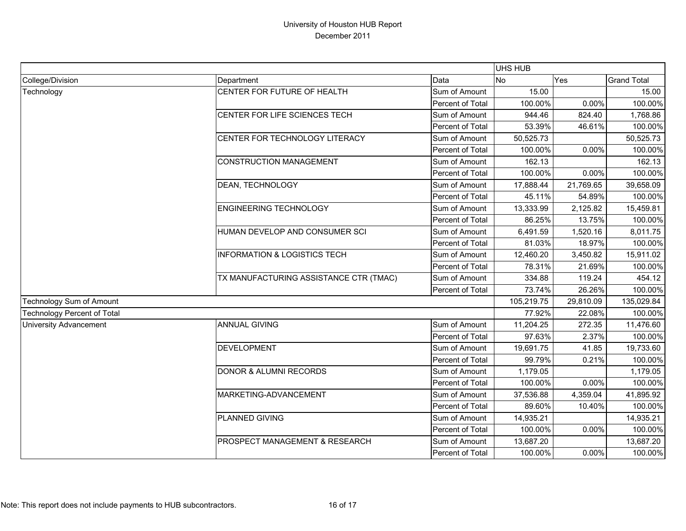|                                    |                                           |                  | UHS HUB    |           |                    |
|------------------------------------|-------------------------------------------|------------------|------------|-----------|--------------------|
| College/Division                   | Department                                | Data             | <b>No</b>  | Yes       | <b>Grand Total</b> |
| Technology                         | CENTER FOR FUTURE OF HEALTH               | Sum of Amount    | 15.00      |           | 15.00              |
|                                    |                                           | Percent of Total | 100.00%    | 0.00%     | 100.00%            |
|                                    | CENTER FOR LIFE SCIENCES TECH             | Sum of Amount    | 944.46     | 824.40    | 1,768.86           |
|                                    |                                           | Percent of Total | 53.39%     | 46.61%    | 100.00%            |
|                                    | CENTER FOR TECHNOLOGY LITERACY            | Sum of Amount    | 50,525.73  |           | 50,525.73          |
|                                    |                                           | Percent of Total | 100.00%    | 0.00%     | 100.00%            |
|                                    | <b>CONSTRUCTION MANAGEMENT</b>            | Sum of Amount    | 162.13     |           | 162.13             |
|                                    |                                           | Percent of Total | 100.00%    | 0.00%     | 100.00%            |
|                                    | DEAN, TECHNOLOGY                          | Sum of Amount    | 17,888.44  | 21,769.65 | 39,658.09          |
|                                    |                                           | Percent of Total | 45.11%     | 54.89%    | 100.00%            |
|                                    | <b>ENGINEERING TECHNOLOGY</b>             | Sum of Amount    | 13,333.99  | 2,125.82  | 15,459.81          |
|                                    |                                           | Percent of Total | 86.25%     | 13.75%    | 100.00%            |
|                                    | HUMAN DEVELOP AND CONSUMER SCI            | Sum of Amount    | 6,491.59   | 1,520.16  | 8,011.75           |
|                                    |                                           | Percent of Total | 81.03%     | 18.97%    | 100.00%            |
|                                    | <b>INFORMATION &amp; LOGISTICS TECH</b>   | Sum of Amount    | 12,460.20  | 3,450.82  | 15,911.02          |
|                                    |                                           | Percent of Total | 78.31%     | 21.69%    | 100.00%            |
|                                    | TX MANUFACTURING ASSISTANCE CTR (TMAC)    | Sum of Amount    | 334.88     | 119.24    | 454.12             |
|                                    |                                           | Percent of Total | 73.74%     | 26.26%    | 100.00%            |
| Technology Sum of Amount           |                                           |                  | 105,219.75 | 29,810.09 | 135,029.84         |
| <b>Technology Percent of Total</b> |                                           |                  | 77.92%     | 22.08%    | 100.00%            |
| <b>University Advancement</b>      | <b>ANNUAL GIVING</b>                      | Sum of Amount    | 11,204.25  | 272.35    | 11,476.60          |
|                                    |                                           | Percent of Total | 97.63%     | 2.37%     | 100.00%            |
|                                    | <b>DEVELOPMENT</b>                        | Sum of Amount    | 19,691.75  | 41.85     | 19,733.60          |
|                                    |                                           | Percent of Total | 99.79%     | 0.21%     | 100.00%            |
|                                    | <b>DONOR &amp; ALUMNI RECORDS</b>         | Sum of Amount    | 1,179.05   |           | 1,179.05           |
|                                    |                                           | Percent of Total | 100.00%    | 0.00%     | 100.00%            |
|                                    | MARKETING-ADVANCEMENT                     | Sum of Amount    | 37,536.88  | 4,359.04  | 41,895.92          |
|                                    |                                           | Percent of Total | 89.60%     | 10.40%    | 100.00%            |
|                                    | PLANNED GIVING                            | Sum of Amount    | 14,935.21  |           | 14,935.21          |
|                                    |                                           | Percent of Total | 100.00%    | $0.00\%$  | 100.00%            |
|                                    | <b>PROSPECT MANAGEMENT &amp; RESEARCH</b> | Sum of Amount    | 13,687.20  |           | 13,687.20          |
|                                    |                                           | Percent of Total | 100.00%    | 0.00%     | 100.00%            |